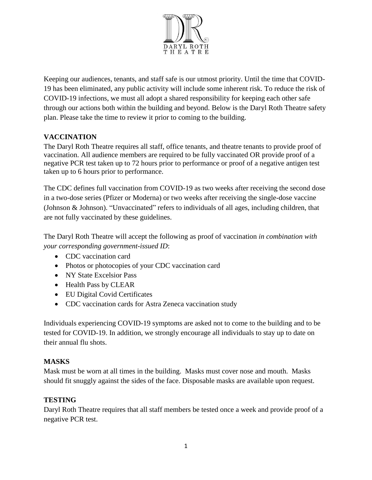

Keeping our audiences, tenants, and staff safe is our utmost priority. Until the time that COVID-19 has been eliminated, any public activity will include some inherent risk. To reduce the risk of COVID-19 infections, we must all adopt a shared responsibility for keeping each other safe through our actions both within the building and beyond. Below is the Daryl Roth Theatre safety plan. Please take the time to review it prior to coming to the building.

## **VACCINATION**

The Daryl Roth Theatre requires all staff, office tenants, and theatre tenants to provide proof of vaccination. All audience members are required to be fully vaccinated OR provide proof of a negative PCR test taken up to 72 hours prior to performance or proof of a negative antigen test taken up to 6 hours prior to performance.

The CDC defines full vaccination from COVID-19 as two weeks after receiving the second dose in a two-dose series (Pfizer or Moderna) or two weeks after receiving the single-dose vaccine (Johnson & Johnson). "Unvaccinated" refers to individuals of all ages, including children, that are not fully vaccinated by these guidelines.

The Daryl Roth Theatre will accept the following as proof of vaccination *in combination with your corresponding government-issued ID*:

- CDC vaccination card
- Photos or photocopies of your CDC vaccination card
- NY State Excelsior Pass
- Health Pass by CLEAR
- EU Digital Covid Certificates
- CDC vaccination cards for Astra Zeneca vaccination study

Individuals experiencing COVID-19 symptoms are asked not to come to the building and to be tested for COVID-19. In addition, we strongly encourage all individuals to stay up to date on their annual flu shots.

#### **MASKS**

Mask must be worn at all times in the building. Masks must cover nose and mouth. Masks should fit snuggly against the sides of the face. Disposable masks are available upon request.

#### **TESTING**

Daryl Roth Theatre requires that all staff members be tested once a week and provide proof of a negative PCR test.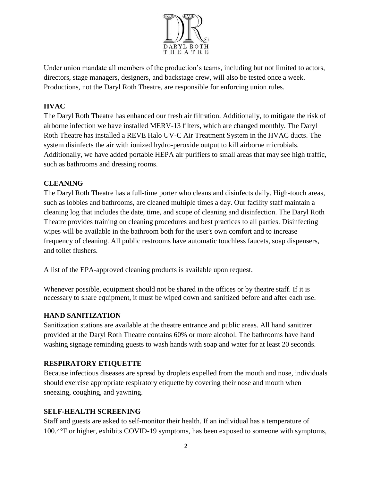

Under union mandate all members of the production's teams, including but not limited to actors, directors, stage managers, designers, and backstage crew, will also be tested once a week. Productions, not the Daryl Roth Theatre, are responsible for enforcing union rules.

## **HVAC**

The Daryl Roth Theatre has enhanced our fresh air filtration. Additionally, to mitigate the risk of airborne infection we have installed MERV-13 filters, which are changed monthly. The Daryl Roth Theatre has installed a REVE Halo UV-C Air Treatment System in the HVAC ducts. The system disinfects the air with ionized hydro-peroxide output to kill airborne microbials. Additionally, we have added portable HEPA air purifiers to small areas that may see high traffic, such as bathrooms and dressing rooms.

### **CLEANING**

The Daryl Roth Theatre has a full-time porter who cleans and disinfects daily. High-touch areas, such as lobbies and bathrooms, are cleaned multiple times a day. Our facility staff maintain a cleaning log that includes the date, time, and scope of cleaning and disinfection. The Daryl Roth Theatre provides training on cleaning procedures and best practices to all parties. Disinfecting wipes will be available in the bathroom both for the user's own comfort and to increase frequency of cleaning. All public restrooms have automatic touchless faucets, soap dispensers, and toilet flushers.

A list of the EPA-approved cleaning products is available upon request.

Whenever possible, equipment should not be shared in the offices or by theatre staff. If it is necessary to share equipment, it must be wiped down and sanitized before and after each use.

### **HAND SANITIZATION**

Sanitization stations are available at the theatre entrance and public areas. All hand sanitizer provided at the Daryl Roth Theatre contains 60% or more alcohol. The bathrooms have hand washing signage reminding guests to wash hands with soap and water for at least 20 seconds.

### **RESPIRATORY ETIQUETTE**

Because infectious diseases are spread by droplets expelled from the mouth and nose, individuals should exercise appropriate respiratory etiquette by covering their nose and mouth when sneezing, coughing, and yawning.

#### **SELF-HEALTH SCREENING**

Staff and guests are asked to self-monitor their health. If an individual has a temperature of 100.4°F or higher, exhibits COVID-19 symptoms, has been exposed to someone with symptoms,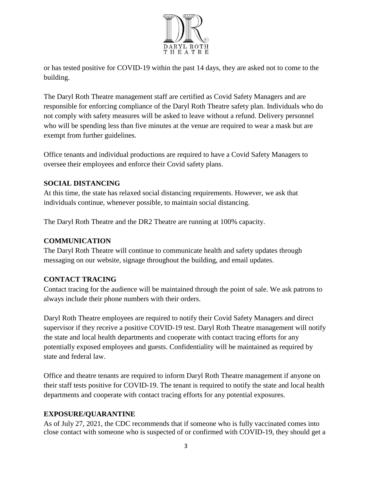

or has tested positive for COVID-19 within the past 14 days, they are asked not to come to the building.

The Daryl Roth Theatre management staff are certified as Covid Safety Managers and are responsible for enforcing compliance of the Daryl Roth Theatre safety plan. Individuals who do not comply with safety measures will be asked to leave without a refund. Delivery personnel who will be spending less than five minutes at the venue are required to wear a mask but are exempt from further guidelines.

Office tenants and individual productions are required to have a Covid Safety Managers to oversee their employees and enforce their Covid safety plans.

### **SOCIAL DISTANCING**

At this time, the state has relaxed social distancing requirements. However, we ask that individuals continue, whenever possible, to maintain social distancing.

The Daryl Roth Theatre and the DR2 Theatre are running at 100% capacity.

# **COMMUNICATION**

The Daryl Roth Theatre will continue to communicate health and safety updates through messaging on our website, signage throughout the building, and email updates.

# **CONTACT TRACING**

Contact tracing for the audience will be maintained through the point of sale. We ask patrons to always include their phone numbers with their orders.

Daryl Roth Theatre employees are required to notify their Covid Safety Managers and direct supervisor if they receive a positive COVID-19 test. Daryl Roth Theatre management will notify the state and local health departments and cooperate with contact tracing efforts for any potentially exposed employees and guests. Confidentiality will be maintained as required by state and federal law.

Office and theatre tenants are required to inform Daryl Roth Theatre management if anyone on their staff tests positive for COVID-19. The tenant is required to notify the state and local health departments and cooperate with contact tracing efforts for any potential exposures.

# **EXPOSURE/QUARANTINE**

As of July 27, 2021, the CDC recommends that if someone who is fully vaccinated comes into close contact with someone who is suspected of or confirmed with COVID-19, they should get a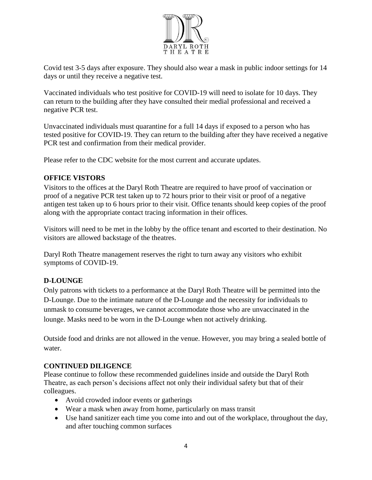

Covid test 3-5 days after exposure. They should also wear a mask in public indoor settings for 14 days or until they receive a negative test.

Vaccinated individuals who test positive for COVID-19 will need to isolate for 10 days. They can return to the building after they have consulted their medial professional and received a negative PCR test.

Unvaccinated individuals must quarantine for a full 14 days if exposed to a person who has tested positive for COVID-19. They can return to the building after they have received a negative PCR test and confirmation from their medical provider.

Please refer to the CDC website for the most current and accurate updates.

### **OFFICE VISTORS**

Visitors to the offices at the Daryl Roth Theatre are required to have proof of vaccination or proof of a negative PCR test taken up to 72 hours prior to their visit or proof of a negative antigen test taken up to 6 hours prior to their visit. Office tenants should keep copies of the proof along with the appropriate contact tracing information in their offices.

Visitors will need to be met in the lobby by the office tenant and escorted to their destination. No visitors are allowed backstage of the theatres.

Daryl Roth Theatre management reserves the right to turn away any visitors who exhibit symptoms of COVID-19.

### **D-LOUNGE**

Only patrons with tickets to a performance at the Daryl Roth Theatre will be permitted into the D-Lounge. Due to the intimate nature of the D-Lounge and the necessity for individuals to unmask to consume beverages, we cannot accommodate those who are unvaccinated in the lounge. Masks need to be worn in the D-Lounge when not actively drinking.

Outside food and drinks are not allowed in the venue. However, you may bring a sealed bottle of water.

### **CONTINUED DILIGENCE**

Please continue to follow these recommended guidelines inside and outside the Daryl Roth Theatre, as each person's decisions affect not only their individual safety but that of their colleagues.

- Avoid crowded indoor events or gatherings
- Wear a mask when away from home, particularly on mass transit
- Use hand sanitizer each time you come into and out of the workplace, throughout the day, and after touching common surfaces